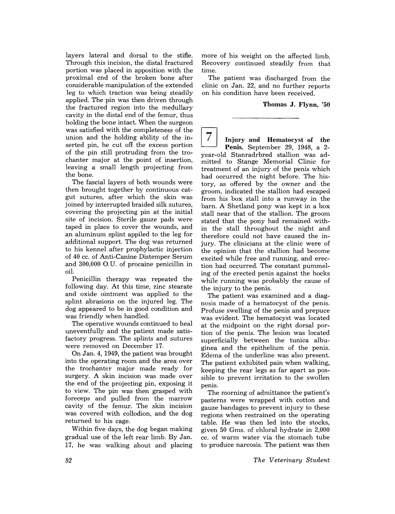layers lateral and dorsal to the stifle. Through this incision, the distal fractured portion was placed in apposition with the proximal end of the broken bone after considerable manipulation of the extended leg to which traction was being steadily applied. The pin was then driven through the fractured region into the medullary cavity in the distal end of the femur, thus holding the bone intact. When the surgeon was satisfied with the completeness of the union and the holding ability of the inserted pin, he cut off the excess portion of the pin still protruding from the trochanter major at the point of insertion, leaving a small length projecting from the bone.

The fascial layers of both wounds were then brought together by continuous catgut sutures, after which the skin was joined by interrupted braided silk sutures, covering the projecting pin at the initial site of incision. Sterile gauze pads were taped in place to cover the wounds, and an aluminum splint appiled to the leg for additional support. The dog was returned to his kennel after prophylactic injection of 40 cc. of Anti-Canine Distemper Serum and 300,000 O.U. of procaine penicillin in oil.

Penicillin therapy was repeated the following day. At this time, zinc stearate and oxide ointment was applied to the splint abrasions on the injured leg. The dog appeared to be in good condition and was friendly when handled.

The operative wounds continued to heal uneventfully and the patient made satisfactory progress. The splints and sutures were removed on December 17.

On Jan. 4, 1949, the patient was brought into the operating room and the area over the trochanter major made ready for surgery. A skin incision was made over the end of the projecting pin, exposing it to view. The pin was then grasped with foreceps and pulled from the marrow cavity of the femur. The skin incision was covered with collodion, and the dog returned to his cage.

Within five days, the dog began making gradual use of the left rear limb. By Jan. 17, he was walking about and placing more of his weight on the affected limb. Recovery continued steadily from that time.

The patient was discharged from the clinic on Jan. 22, and no further reports on his condition have been received.

## Thomas J. Flynn, '50

7 Injury and Hematocyst of the Penis. September 29, 1948, a 2 year-old Stanradrbred stallion was admitted to Stange Memorial Clinic for treatment of an injury of the penis which had occurred the night before. The history, as offered by the owner and the groom, indicated the stallion had escaped from his box stall into a runway in the barn. A Shetland pony was kept in a box stall near that of the stallion. The groom stated that the pony had remained within the stall throughout the night and therefore could not have caused the injury. The clinicians at the clinic were of the opinion that the stallion had become excited while free and running, and erection had occurred. The constant pummeling of the erected penis against the hocks while running was probably the cause of the injury to the penis.

The patient was examined and a diagnosis made of a hematocyst of the penis. Profuse swelling of the penis and prepuce was evident. The hematocyst was located at the midpoint on the right dorsal portion of the penis. The lesion was located superficially between the tunica albuginea and the epithelium of the penis. Edema of the underline was also present. The patient exhibited pain when walking, keeping the rear legs as far apart as possible to prevent irritation to the swollen penis.

The morning of admittance the patient's pasterns were wrapped with cotton and gauze bandages to prevent injury to these regions when restrained on the operating table. He was then led into the stocks, given 50 Gms. of chloral hydrate in 2,000 cc. of warm water via the stomach tube to produce narcosis. The patient was then

*The Veterinary Student*